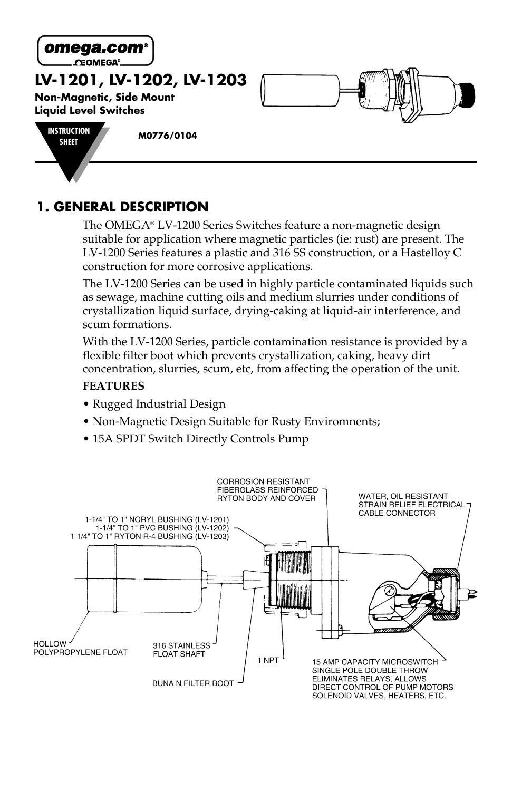

**CEOMEGA®** 

**LV-1201, LV-1202, LV-1203**

**Non-Magnetic, Side Mount Liquid Level Switches**



**SHEET M0776/0104**

# **1. GENERAL DESCRIPTION**

The OMEGA® LV-1200 Series Switches feature a non-magnetic design suitable for application where magnetic particles (ie: rust) are present. The LV-1200 Series features a plastic and 316 SS construction, or a Hastelloy C construction for more corrosive applications.

The LV-1200 Series can be used in highly particle contaminated liquids such as sewage, machine cutting oils and medium slurries under conditions of crystallization liquid surface, drying-caking at liquid-air interference, and scum formations.

With the LV-1200 Series, particle contamination resistance is provided by a flexible filter boot which prevents crystallization, caking, heavy dirt concentration, slurries, scum, etc, from affecting the operation of the unit.

#### **FEATURES**

- Rugged Industrial Design
- Non-Magnetic Design Suitable for Rusty Enviromnents;
- 15A SPDT Switch Directly Controls Pump

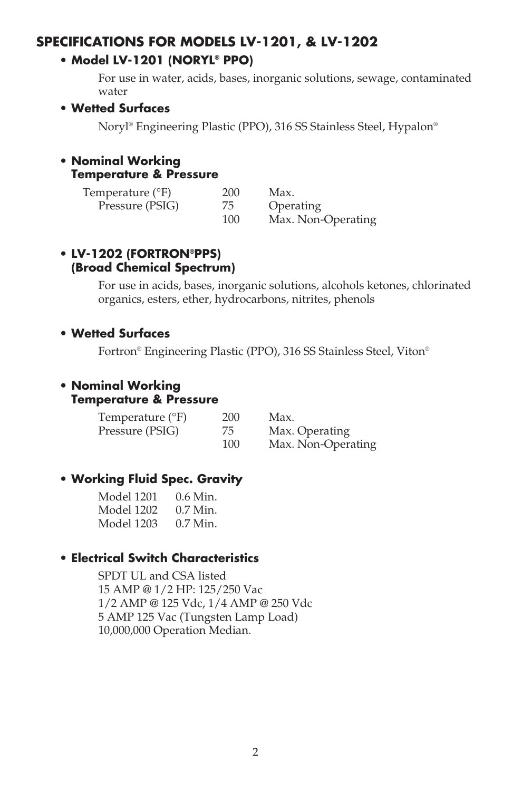## **SPECIFICATIONS FOR MODELS LV-1201, & LV-1202**

#### **• Model LV-1201 (NORYL® PPO)**

For use in water, acids, bases, inorganic solutions, sewage, contaminated water

#### **• Wetted Surfaces**

Noryl® Engineering Plastic (PPO), 316 SS Stainless Steel, Hypalon®

#### **• Nominal Working Temperature & Pressure**

| Temperature $(^{\circ}F)$ | 200 | Max.               |
|---------------------------|-----|--------------------|
| Pressure (PSIG)           | 75  | Operating          |
|                           | 100 | Max. Non-Operating |

#### **• LV-1202 (FORTRON®PPS) (Broad Chemical Spectrum)**

For use in acids, bases, inorganic solutions, alcohols ketones, chlorinated organics, esters, ether, hydrocarbons, nitrites, phenols

#### **• Wetted Surfaces**

Fortron® Engineering Plastic (PPO), 316 SS Stainless Steel, Viton®

#### **• Nominal Working Temperature & Pressure**

| Temperature $(^{\circ}F)$ | 200 | Max.               |
|---------------------------|-----|--------------------|
| Pressure (PSIG)           | 75  | Max. Operating     |
|                           | 100 | Max. Non-Operating |

#### **• Working Fluid Spec. Gravity**

| Model 1201 | $0.6$ Min. |
|------------|------------|
| Model 1202 | $0.7$ Min. |
| Model 1203 | $0.7$ Min. |

## **• Electrical Switch Characteristics**

SPDT UL and CSA listed 15 AMP @ 1/2 HP: 125/250 Vac 1/2 AMP @ 125 Vdc, 1/4 AMP @ 250 Vdc 5 AMP 125 Vac (Tungsten Lamp Load) 10,000,000 Operation Median.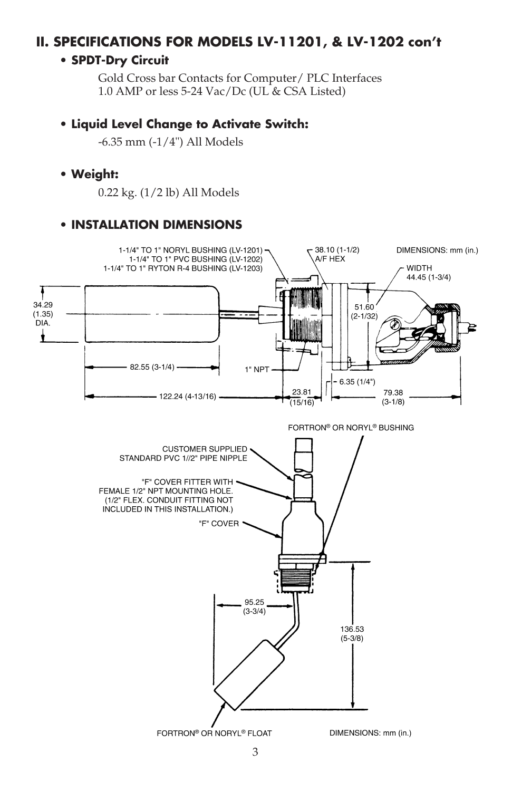# **II. SPECIFICATIONS FOR MODELS LV-11201, & LV-1202 con't**

#### **• SPDT-Dry Circuit**

Gold Cross bar Contacts for Computer/ PLC Interfaces 1.0 AMP or less 5-24 Vac/Dc (UL & CSA Listed)

#### **• Liquid Level Change to Activate Switch:**

-6.35 mm (-1/4") All Models

#### **• Weight:**

0.22 kg. (1/2 lb) All Models

#### **• INSTALLATION DIMENSIONS**

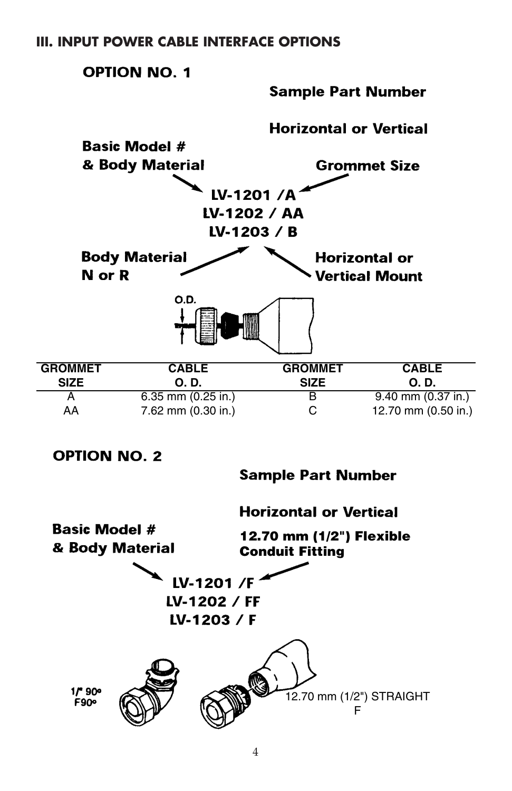

LV-1202 / FF LV-1203 / F



4

12.70 mm (1/2") STRAIGHT F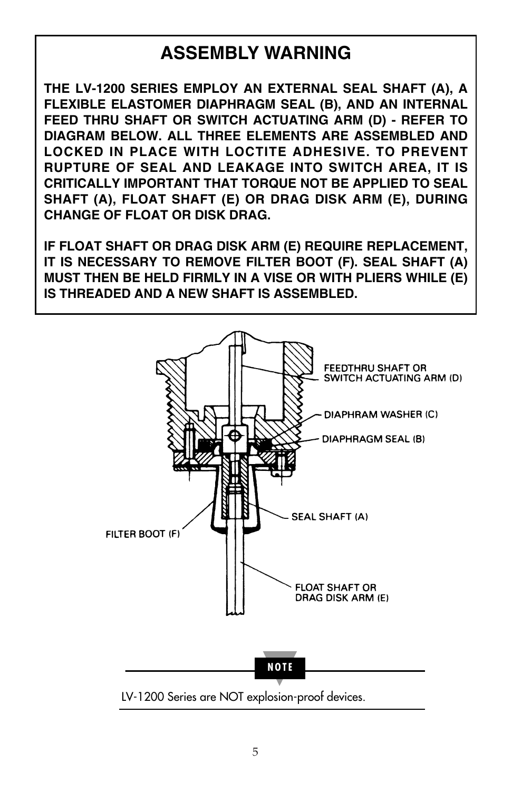# **ASSEMBLY WARNING**

**THE LV-1200 SERIES EMPLOY AN EXTERNAL SEAL SHAFT (A), A FLEXIBLE ELASTOMER DIAPHRAGM SEAL (B), AND AN INTERNAL FEED THRU SHAFT OR SWITCH ACTUATING ARM (D) - REFER TO DIAGRAM BELOW. ALL THREE ELEMENTS ARE ASSEMBLED AND LOCKED IN PLACE WITH LOCTITE ADHESIVE. TO PREVENT RUPTURE OF SEAL AND LEAKAGE INTO SWITCH AREA, IT IS CRITICALLY IMPORTANT THAT TORQUE NOT BE APPLIED TO SEAL SHAFT (A), FLOAT SHAFT (E) OR DRAG DISK ARM (E), DURING CHANGE OF FLOAT OR DISK DRAG.**

**IF FLOAT SHAFT OR DRAG DISK ARM (E) REQUIRE REPLACEMENT, IT IS NECESSARY TO REMOVE FILTER BOOT (F). SEAL SHAFT (A) MUST THEN BE HELD FIRMLY IN A VISE OR WITH PLIERS WHILE (E) IS THREADED AND A NEW SHAFT IS ASSEMBLED.**

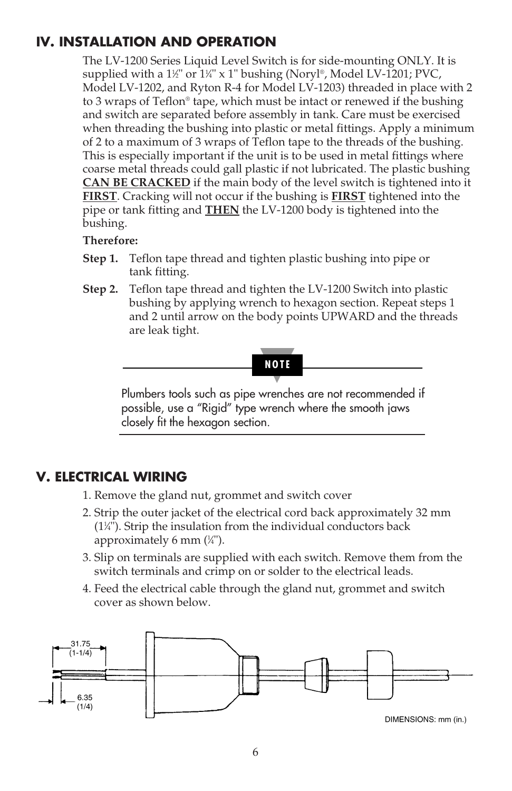# **IV. INSTALLATION AND OPERATION**

The LV-1200 Series Liquid Level Switch is for side-mounting ONLY. It is supplied with a 1½" or 1¼" x 1" bushing (Noryl®, Model LV-1201; PVC, Model LV-1202, and Ryton R-4 for Model LV-1203) threaded in place with 2 to 3 wraps of Teflon® tape, which must be intact or renewed if the bushing and switch are separated before assembly in tank. Care must be exercised when threading the bushing into plastic or metal fittings. Apply a minimum of 2 to a maximum of 3 wraps of Teflon tape to the threads of the bushing. This is especially important if the unit is to be used in metal fittings where coarse metal threads could gall plastic if not lubricated. The plastic bushing **CAN BE CRACKED** if the main body of the level switch is tightened into it **FIRST**. Cracking will not occur if the bushing is **FIRST** tightened into the pipe or tank fitting and **THEN** the LV-1200 body is tightened into the bushing.

#### **Therefore:**

- **Step 1.** Teflon tape thread and tighten plastic bushing into pipe or tank fitting.
- **Step 2.** Teflon tape thread and tighten the LV-1200 Switch into plastic bushing by applying wrench to hexagon section. Repeat steps 1 and 2 until arrow on the body points UPWARD and the threads are leak tight.



Plumbers tools such as pipe wrenches are not recommended if possible, use a "Rigid" type wrench where the smooth jaws closely fit the hexagon section.

## **V. ELECTRICAL WIRING**

- 1. Remove the gland nut, grommet and switch cover
- 2. Strip the outer jacket of the electrical cord back approximately 32 mm (11 ⁄4"). Strip the insulation from the individual conductors back approximately 6 mm (1 ⁄4").
- 3. Slip on terminals are supplied with each switch. Remove them from the switch terminals and crimp on or solder to the electrical leads.
- 4. Feed the electrical cable through the gland nut, grommet and switch cover as shown below.

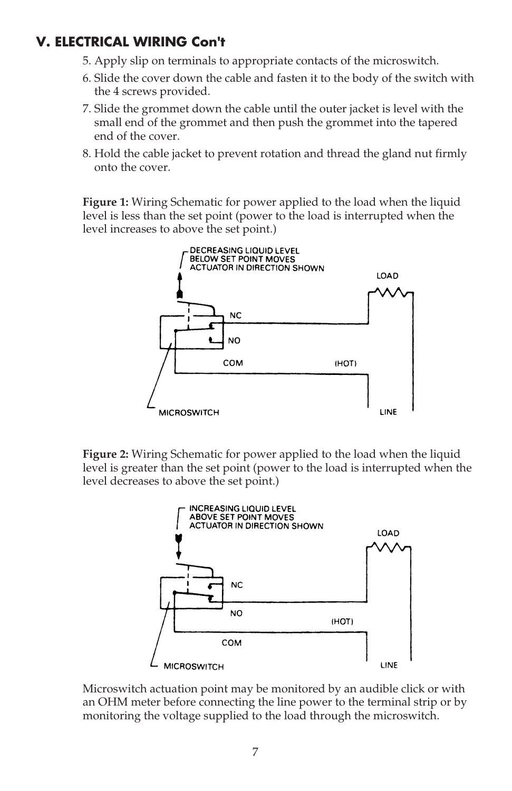# **V. ELECTRICAL WIRING Con't**

- 5. Apply slip on terminals to appropriate contacts of the microswitch.
- 6. Slide the cover down the cable and fasten it to the body of the switch with the 4 screws provided.
- 7. Slide the grommet down the cable until the outer jacket is level with the small end of the grommet and then push the grommet into the tapered end of the cover.
- 8. Hold the cable jacket to prevent rotation and thread the gland nut firmly onto the cover.

**Figure 1:** Wiring Schematic for power applied to the load when the liquid level is less than the set point (power to the load is interrupted when the level increases to above the set point.)



**Figure 2:** Wiring Schematic for power applied to the load when the liquid level is greater than the set point (power to the load is interrupted when the level decreases to above the set point.)



Microswitch actuation point may be monitored by an audible click or with an OHM meter before connecting the line power to the terminal strip or by monitoring the voltage supplied to the load through the microswitch.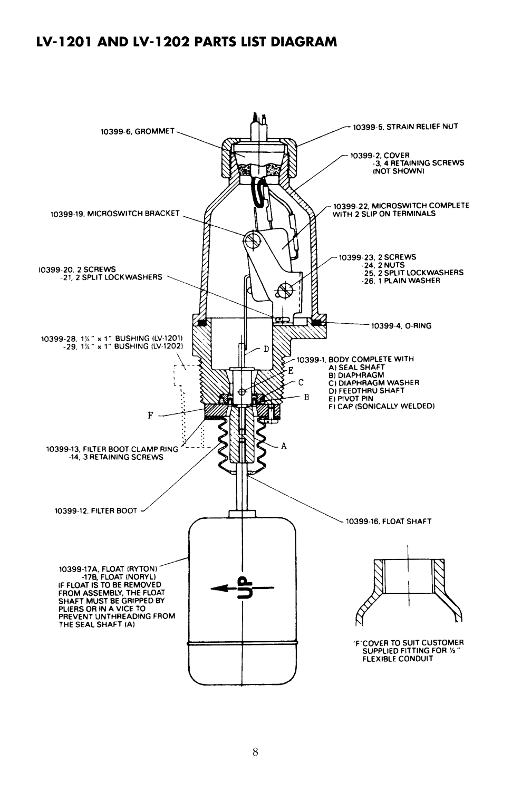## **LV-1201 AND LV-1202 PARTS LIST DIAGRAM**

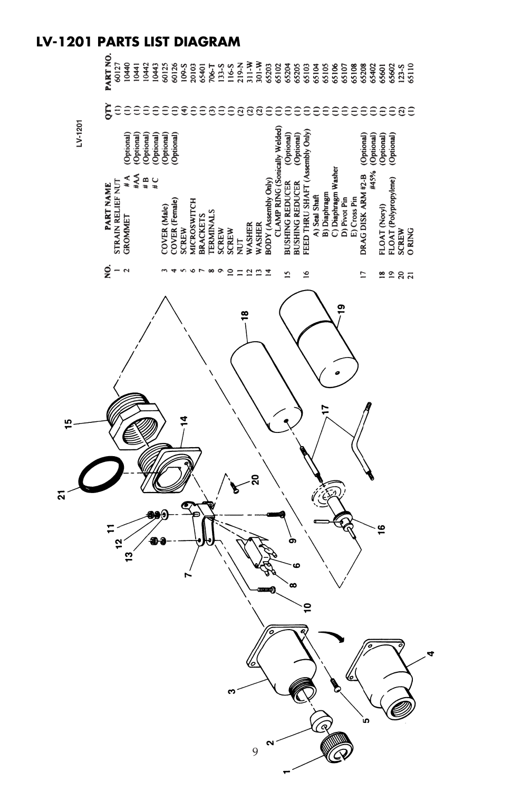# **LV-1201 PARTS LIST DIAGRAM**

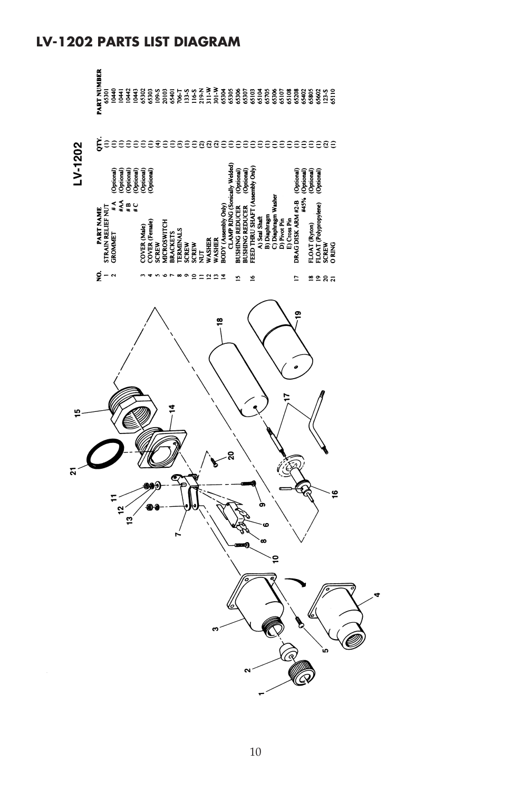## **LV-1202 PARTS LIST DIAGRAM**

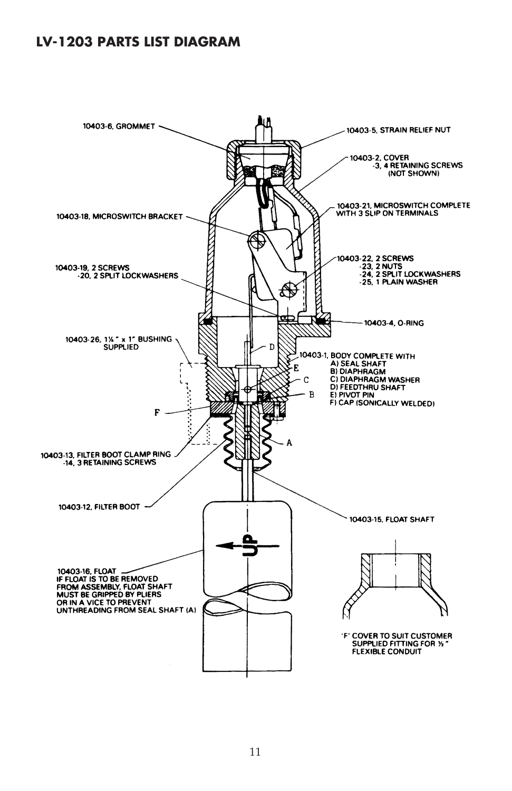## **LV-1203 PARTS LIST DIAGRAM**